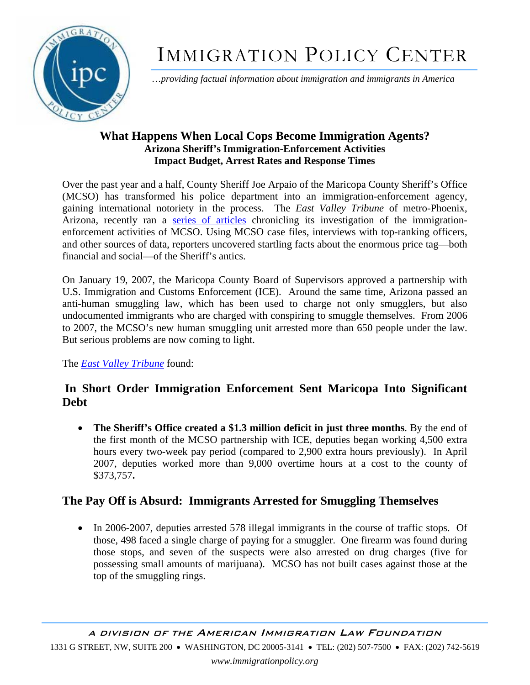

# IMMIGRATION POLICY CENTER

…*providing factual information about immigration and immigrants in America*

## **What Happens When Local Cops Become Immigration Agents? Arizona Sheriff's Immigration-Enforcement Activities Impact Budget, Arrest Rates and Response Times**

Over the past year and a half, County Sheriff Joe Arpaio of the Maricopa County Sheriff's Office (MCSO) has transformed his police department into an immigration-enforcement agency, gaining international notoriety in the process. The *East Valley Tribune* of metro-Phoenix, Arizona, recently ran a [series of articles](http://www.eastvalleytribune.com/page/reasonable_doubt) chronicling its investigation of the immigrationenforcement activities of MCSO. Using MCSO case files, interviews with top-ranking officers, and other sources of data, reporters uncovered startling facts about the enormous price tag—both financial and social—of the Sheriff's antics.

On January 19, 2007, the Maricopa County Board of Supervisors approved a partnership with U.S. Immigration and Customs Enforcement (ICE). Around the same time, Arizona passed an anti-human smuggling law, which has been used to charge not only smugglers, but also undocumented immigrants who are charged with conspiring to smuggle themselves. From 2006 to 2007, the MCSO's new human smuggling unit arrested more than 650 people under the law. But serious problems are now coming to light.

The *[East Valley Tribune](http://www.eastvalleytribune.com/page/reasonable_doubt)* found:

# **In Short Order Immigration Enforcement Sent Maricopa Into Significant Debt**

• **The Sheriff's Office created a \$1.3 million deficit in just three months**. By the end of the first month of the MCSO partnership with ICE, deputies began working 4,500 extra hours every two-week pay period (compared to 2,900 extra hours previously). In April 2007, deputies worked more than 9,000 overtime hours at a cost to the county of \$373,757**.** 

# **The Pay Off is Absurd: Immigrants Arrested for Smuggling Themselves**

• In 2006-2007, deputies arrested 578 illegal immigrants in the course of traffic stops. Of those, 498 faced a single charge of paying for a smuggler. One firearm was found during those stops, and seven of the suspects were also arrested on drug charges (five for possessing small amounts of marijuana). MCSO has not built cases against those at the top of the smuggling rings.